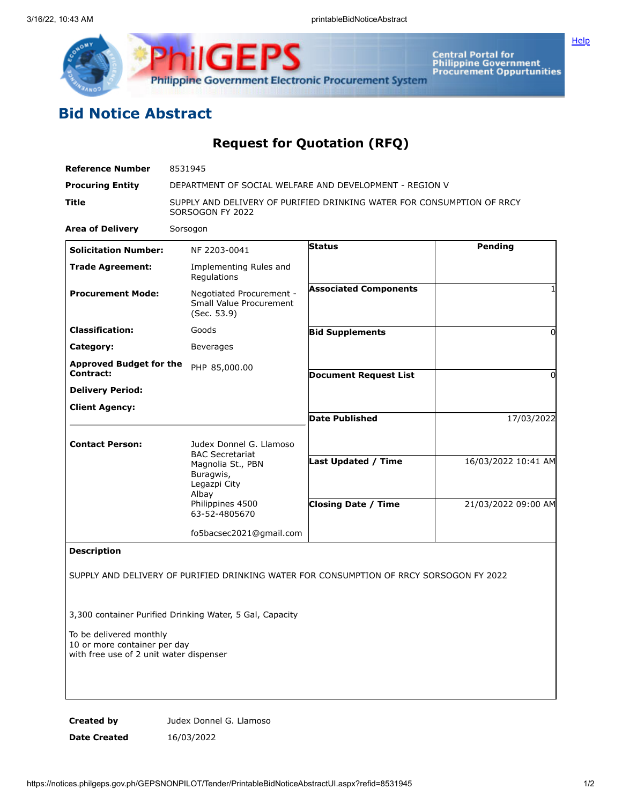

**Central Portal for<br>Philippine Government<br>Procurement Oppurtunities** 

**[Help](javascript:void(window.open()** 

## **Bid Notice Abstract**

## **Request for Quotation (RFQ)**

| <b>Reference Number</b>                                                                            | 8531945                                                                                                                                           |                              |                     |
|----------------------------------------------------------------------------------------------------|---------------------------------------------------------------------------------------------------------------------------------------------------|------------------------------|---------------------|
| <b>Procuring Entity</b>                                                                            | DEPARTMENT OF SOCIAL WELFARE AND DEVELOPMENT - REGION V                                                                                           |                              |                     |
| Title                                                                                              | SUPPLY AND DELIVERY OF PURIFIED DRINKING WATER FOR CONSUMPTION OF RRCY<br>SORSOGON FY 2022                                                        |                              |                     |
| <b>Area of Delivery</b>                                                                            | Sorsogon                                                                                                                                          |                              |                     |
| <b>Solicitation Number:</b>                                                                        | NF 2203-0041                                                                                                                                      | <b>Status</b>                | Pending             |
| <b>Trade Agreement:</b>                                                                            | Implementing Rules and<br>Regulations                                                                                                             |                              |                     |
| <b>Procurement Mode:</b>                                                                           | Negotiated Procurement -<br>Small Value Procurement<br>(Sec. 53.9)                                                                                | <b>Associated Components</b> |                     |
| <b>Classification:</b>                                                                             | Goods                                                                                                                                             | <b>Bid Supplements</b>       | $\Omega$            |
| Category:                                                                                          | Beverages                                                                                                                                         |                              |                     |
| <b>Approved Budget for the</b><br>Contract:                                                        | PHP 85,000.00                                                                                                                                     | <b>Document Request List</b> | 0                   |
| <b>Delivery Period:</b>                                                                            |                                                                                                                                                   |                              |                     |
| <b>Client Agency:</b>                                                                              |                                                                                                                                                   | <b>Date Published</b>        | 17/03/2022          |
| <b>Contact Person:</b>                                                                             | Judex Donnel G. Llamoso<br><b>BAC Secretariat</b><br>Magnolia St., PBN<br>Buragwis,<br>Legazpi City<br>Albay<br>Philippines 4500<br>63-52-4805670 |                              |                     |
|                                                                                                    |                                                                                                                                                   | Last Updated / Time          | 16/03/2022 10:41 AM |
|                                                                                                    |                                                                                                                                                   | <b>Closing Date / Time</b>   | 21/03/2022 09:00 AM |
|                                                                                                    | fo5bacsec2021@gmail.com                                                                                                                           |                              |                     |
| <b>Description</b>                                                                                 |                                                                                                                                                   |                              |                     |
|                                                                                                    | SUPPLY AND DELIVERY OF PURIFIED DRINKING WATER FOR CONSUMPTION OF RRCY SORSOGON FY 2022                                                           |                              |                     |
|                                                                                                    | 3,300 container Purified Drinking Water, 5 Gal, Capacity                                                                                          |                              |                     |
| To be delivered monthly<br>10 or more container per day<br>with free use of 2 unit water dispenser |                                                                                                                                                   |                              |                     |
|                                                                                                    |                                                                                                                                                   |                              |                     |

**Created by** Judex Donnel G. Llamoso

**Date Created** 16/03/2022